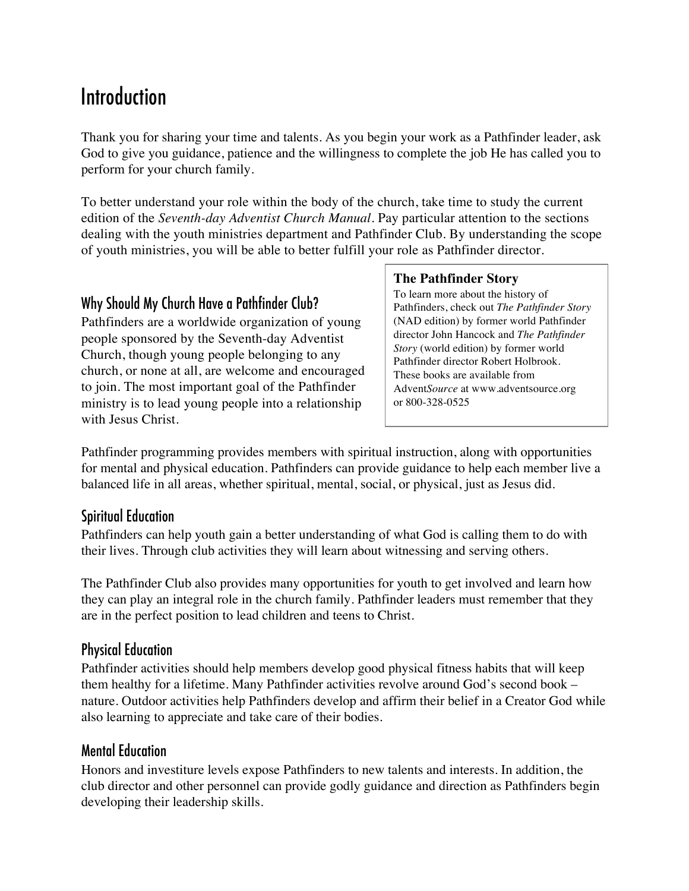## Introduction

Thank you for sharing your time and talents. As you begin your work as a Pathfinder leader, ask God to give you guidance, patience and the willingness to complete the job He has called you to perform for your church family.

To better understand your role within the body of the church, take time to study the current edition of the *Seventh-day Adventist Church Manual*. Pay particular attention to the sections dealing with the youth ministries department and Pathfinder Club. By understanding the scope of youth ministries, you will be able to better fulfill your role as Pathfinder director.

## Why Should My Church Have a Pathfinder Club?

Pathfinders are a worldwide organization of young people sponsored by the Seventh-day Adventist Church, though young people belonging to any church, or none at all, are welcome and encouraged to join. The most important goal of the Pathfinder ministry is to lead young people into a relationship with Jesus Christ.

#### **The Pathfinder Story**

To learn more about the history of Pathfinders, check out *The Pathfinder Story* (NAD edition) by former world Pathfinder director John Hancock and *The Pathfinder Story* (world edition) by former world Pathfinder director Robert Holbrook. These books are available from Advent*Source* at www.adventsource.org or 800-328-0525

Pathfinder programming provides members with spiritual instruction, along with opportunities for mental and physical education. Pathfinders can provide guidance to help each member live a balanced life in all areas, whether spiritual, mental, social, or physical, just as Jesus did.

#### Spiritual Education

Pathfinders can help youth gain a better understanding of what God is calling them to do with their lives. Through club activities they will learn about witnessing and serving others.

The Pathfinder Club also provides many opportunities for youth to get involved and learn how they can play an integral role in the church family. Pathfinder leaders must remember that they are in the perfect position to lead children and teens to Christ.

#### Physical Education

Pathfinder activities should help members develop good physical fitness habits that will keep them healthy for a lifetime. Many Pathfinder activities revolve around God's second book – nature. Outdoor activities help Pathfinders develop and affirm their belief in a Creator God while also learning to appreciate and take care of their bodies.

#### Mental Education

Honors and investiture levels expose Pathfinders to new talents and interests. In addition, the club director and other personnel can provide godly guidance and direction as Pathfinders begin developing their leadership skills.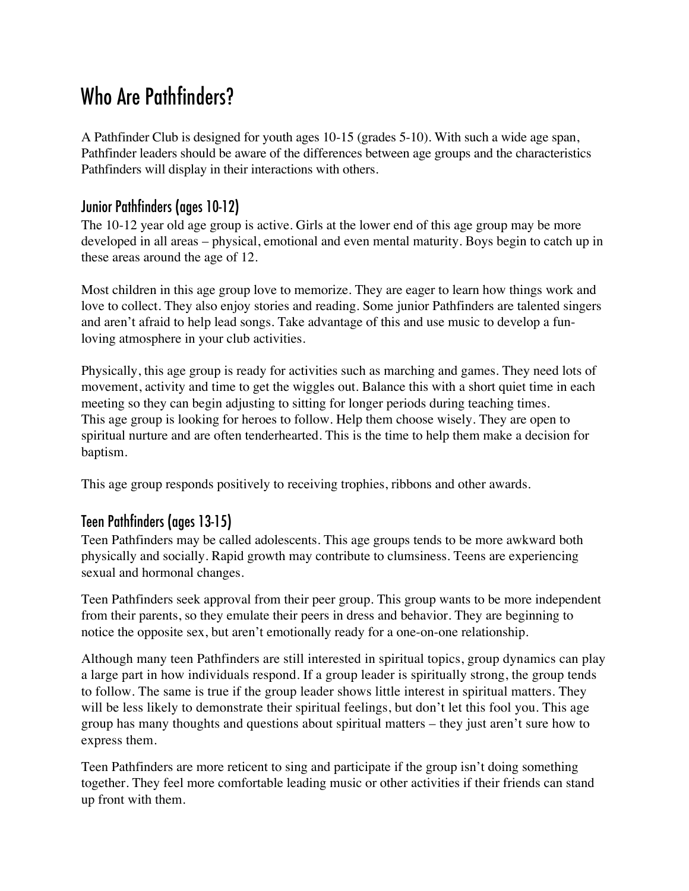## Who Are Pathfinders?

A Pathfinder Club is designed for youth ages 10-15 (grades 5-10). With such a wide age span, Pathfinder leaders should be aware of the differences between age groups and the characteristics Pathfinders will display in their interactions with others.

## Junior Pathfinders (ages 10-12)

The 10-12 year old age group is active. Girls at the lower end of this age group may be more developed in all areas – physical, emotional and even mental maturity. Boys begin to catch up in these areas around the age of 12.

Most children in this age group love to memorize. They are eager to learn how things work and love to collect. They also enjoy stories and reading. Some junior Pathfinders are talented singers and aren't afraid to help lead songs. Take advantage of this and use music to develop a funloving atmosphere in your club activities.

Physically, this age group is ready for activities such as marching and games. They need lots of movement, activity and time to get the wiggles out. Balance this with a short quiet time in each meeting so they can begin adjusting to sitting for longer periods during teaching times. This age group is looking for heroes to follow. Help them choose wisely. They are open to spiritual nurture and are often tenderhearted. This is the time to help them make a decision for baptism.

This age group responds positively to receiving trophies, ribbons and other awards.

## Teen Pathfinders (ages 13-15)

Teen Pathfinders may be called adolescents. This age groups tends to be more awkward both physically and socially. Rapid growth may contribute to clumsiness. Teens are experiencing sexual and hormonal changes.

Teen Pathfinders seek approval from their peer group. This group wants to be more independent from their parents, so they emulate their peers in dress and behavior. They are beginning to notice the opposite sex, but aren't emotionally ready for a one-on-one relationship.

Although many teen Pathfinders are still interested in spiritual topics, group dynamics can play a large part in how individuals respond. If a group leader is spiritually strong, the group tends to follow. The same is true if the group leader shows little interest in spiritual matters. They will be less likely to demonstrate their spiritual feelings, but don't let this fool you. This age group has many thoughts and questions about spiritual matters – they just aren't sure how to express them.

Teen Pathfinders are more reticent to sing and participate if the group isn't doing something together. They feel more comfortable leading music or other activities if their friends can stand up front with them.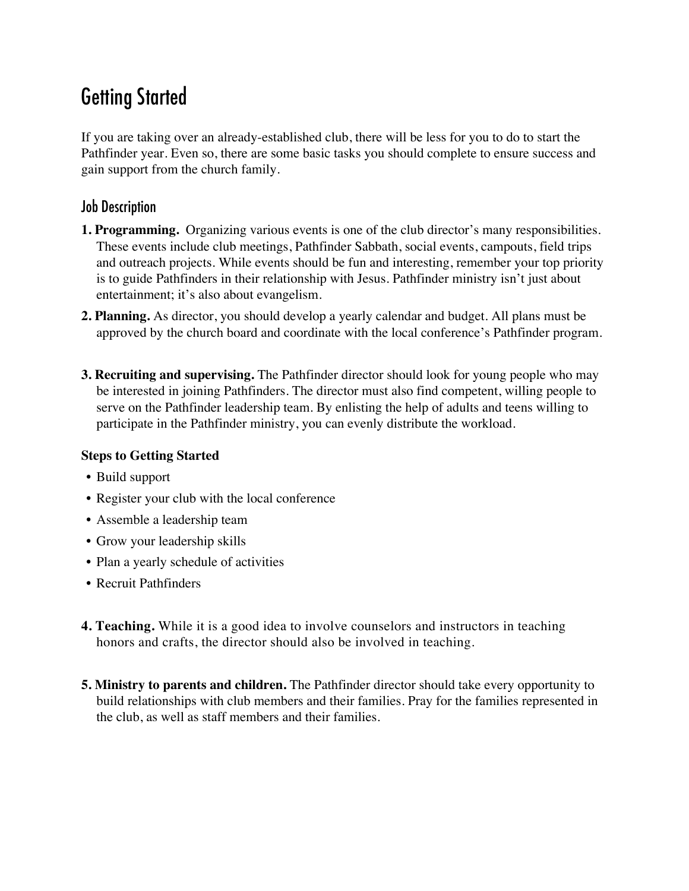## Getting Started

If you are taking over an already-established club, there will be less for you to do to start the Pathfinder year. Even so, there are some basic tasks you should complete to ensure success and gain support from the church family.

### Job Description

- **1. Programming.** Organizing various events is one of the club director's many responsibilities. These events include club meetings, Pathfinder Sabbath, social events, campouts, field trips and outreach projects. While events should be fun and interesting, remember your top priority is to guide Pathfinders in their relationship with Jesus. Pathfinder ministry isn't just about entertainment; it's also about evangelism.
- **2. Planning.** As director, you should develop a yearly calendar and budget. All plans must be approved by the church board and coordinate with the local conference's Pathfinder program.
- **3. Recruiting and supervising.** The Pathfinder director should look for young people who may be interested in joining Pathfinders. The director must also find competent, willing people to serve on the Pathfinder leadership team. By enlisting the help of adults and teens willing to participate in the Pathfinder ministry, you can evenly distribute the workload.

#### **Steps to Getting Started**

- Build support
- Register your club with the local conference
- Assemble a leadership team
- Grow your leadership skills
- Plan a yearly schedule of activities
- Recruit Pathfinders
- **4. Teaching.** While it is a good idea to involve counselors and instructors in teaching honors and crafts, the director should also be involved in teaching.
- **5. Ministry to parents and children.** The Pathfinder director should take every opportunity to build relationships with club members and their families. Pray for the families represented in the club, as well as staff members and their families.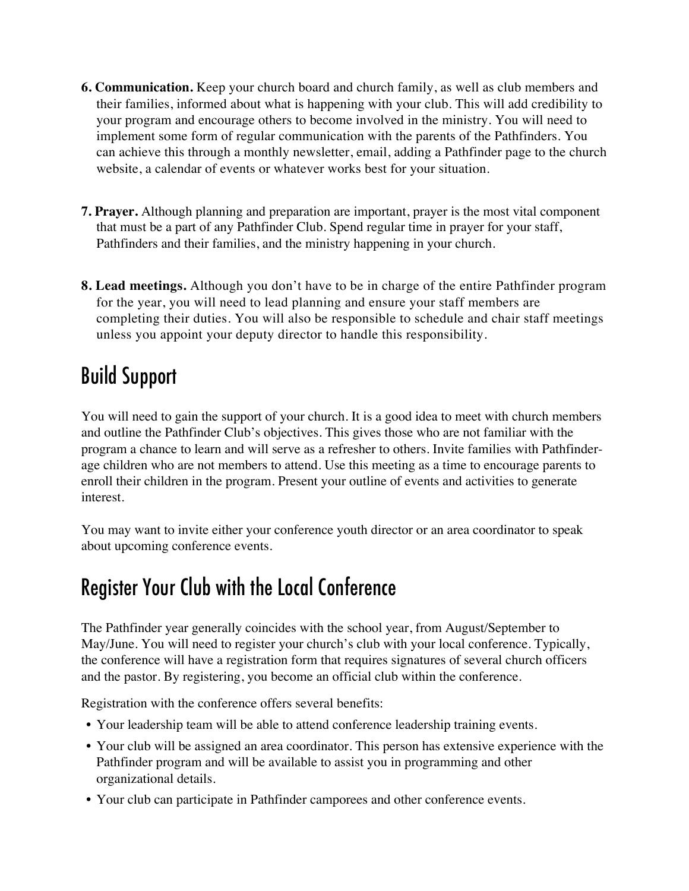- **6. Communication.** Keep your church board and church family, as well as club members and their families, informed about what is happening with your club. This will add credibility to your program and encourage others to become involved in the ministry. You will need to implement some form of regular communication with the parents of the Pathfinders. You can achieve this through a monthly newsletter, email, adding a Pathfinder page to the church website, a calendar of events or whatever works best for your situation.
- **7. Prayer.** Although planning and preparation are important, prayer is the most vital component that must be a part of any Pathfinder Club. Spend regular time in prayer for your staff, Pathfinders and their families, and the ministry happening in your church.
- **8. Lead meetings.** Although you don't have to be in charge of the entire Pathfinder program for the year, you will need to lead planning and ensure your staff members are completing their duties. You will also be responsible to schedule and chair staff meetings unless you appoint your deputy director to handle this responsibility.

# Build Support

You will need to gain the support of your church. It is a good idea to meet with church members and outline the Pathfinder Club's objectives. This gives those who are not familiar with the program a chance to learn and will serve as a refresher to others. Invite families with Pathfinderage children who are not members to attend. Use this meeting as a time to encourage parents to enroll their children in the program. Present your outline of events and activities to generate interest.

You may want to invite either your conference youth director or an area coordinator to speak about upcoming conference events.

## Register Your Club with the Local Conference

The Pathfinder year generally coincides with the school year, from August/September to May/June. You will need to register your church's club with your local conference. Typically, the conference will have a registration form that requires signatures of several church officers and the pastor. By registering, you become an official club within the conference.

Registration with the conference offers several benefits:

- Your leadership team will be able to attend conference leadership training events.
- Your club will be assigned an area coordinator. This person has extensive experience with the Pathfinder program and will be available to assist you in programming and other organizational details.
- Your club can participate in Pathfinder camporees and other conference events.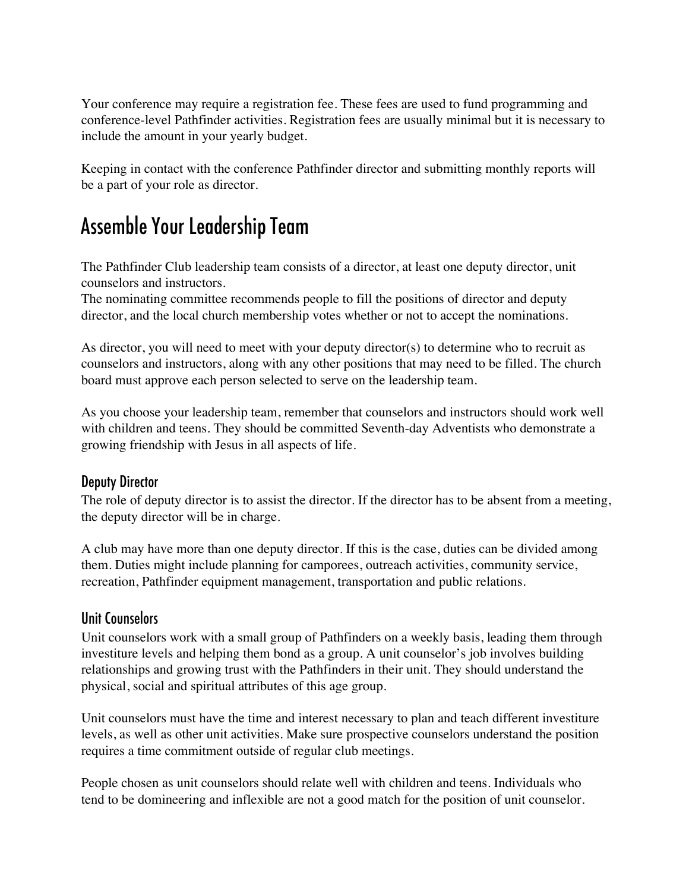Your conference may require a registration fee. These fees are used to fund programming and conference-level Pathfinder activities. Registration fees are usually minimal but it is necessary to include the amount in your yearly budget.

Keeping in contact with the conference Pathfinder director and submitting monthly reports will be a part of your role as director.

## Assemble Your Leadership Team

The Pathfinder Club leadership team consists of a director, at least one deputy director, unit counselors and instructors.

The nominating committee recommends people to fill the positions of director and deputy director, and the local church membership votes whether or not to accept the nominations.

As director, you will need to meet with your deputy director(s) to determine who to recruit as counselors and instructors, along with any other positions that may need to be filled. The church board must approve each person selected to serve on the leadership team.

As you choose your leadership team, remember that counselors and instructors should work well with children and teens. They should be committed Seventh-day Adventists who demonstrate a growing friendship with Jesus in all aspects of life.

#### Deputy Director

The role of deputy director is to assist the director. If the director has to be absent from a meeting, the deputy director will be in charge.

A club may have more than one deputy director. If this is the case, duties can be divided among them. Duties might include planning for camporees, outreach activities, community service, recreation, Pathfinder equipment management, transportation and public relations.

#### Unit Counselors

Unit counselors work with a small group of Pathfinders on a weekly basis, leading them through investiture levels and helping them bond as a group. A unit counselor's job involves building relationships and growing trust with the Pathfinders in their unit. They should understand the physical, social and spiritual attributes of this age group.

Unit counselors must have the time and interest necessary to plan and teach different investiture levels, as well as other unit activities. Make sure prospective counselors understand the position requires a time commitment outside of regular club meetings.

People chosen as unit counselors should relate well with children and teens. Individuals who tend to be domineering and inflexible are not a good match for the position of unit counselor.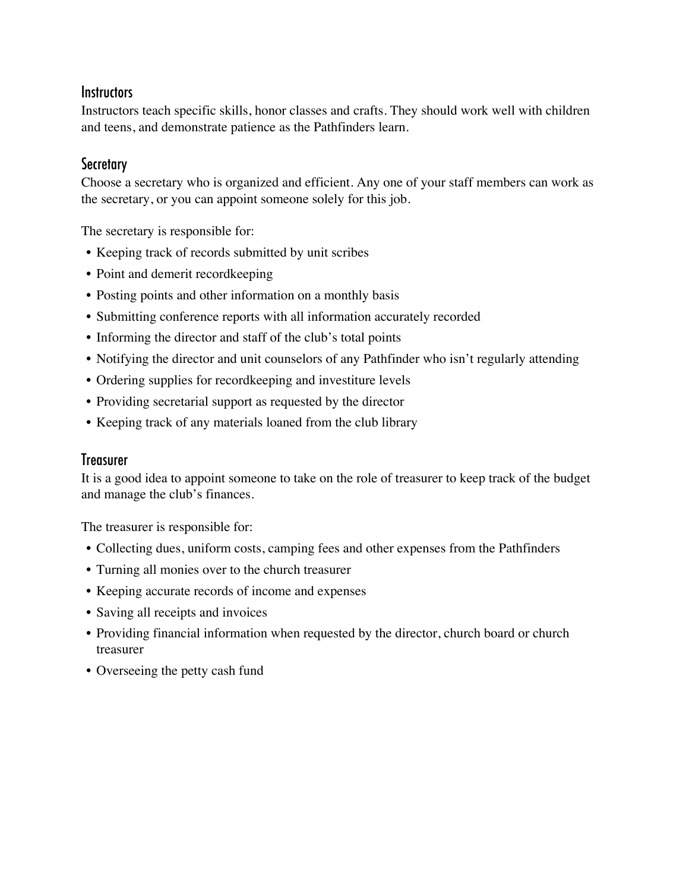#### **Instructors**

Instructors teach specific skills, honor classes and crafts. They should work well with children and teens, and demonstrate patience as the Pathfinders learn.

#### **Secretary**

Choose a secretary who is organized and efficient. Any one of your staff members can work as the secretary, or you can appoint someone solely for this job.

The secretary is responsible for:

- Keeping track of records submitted by unit scribes
- Point and demerit recordkeeping
- Posting points and other information on a monthly basis
- Submitting conference reports with all information accurately recorded
- Informing the director and staff of the club's total points
- Notifying the director and unit counselors of any Pathfinder who isn't regularly attending
- Ordering supplies for recordkeeping and investiture levels
- Providing secretarial support as requested by the director
- Keeping track of any materials loaned from the club library

#### **Treasurer**

It is a good idea to appoint someone to take on the role of treasurer to keep track of the budget and manage the club's finances.

The treasurer is responsible for:

- Collecting dues, uniform costs, camping fees and other expenses from the Pathfinders
- Turning all monies over to the church treasurer
- Keeping accurate records of income and expenses
- Saving all receipts and invoices
- Providing financial information when requested by the director, church board or church treasurer
- Overseeing the petty cash fund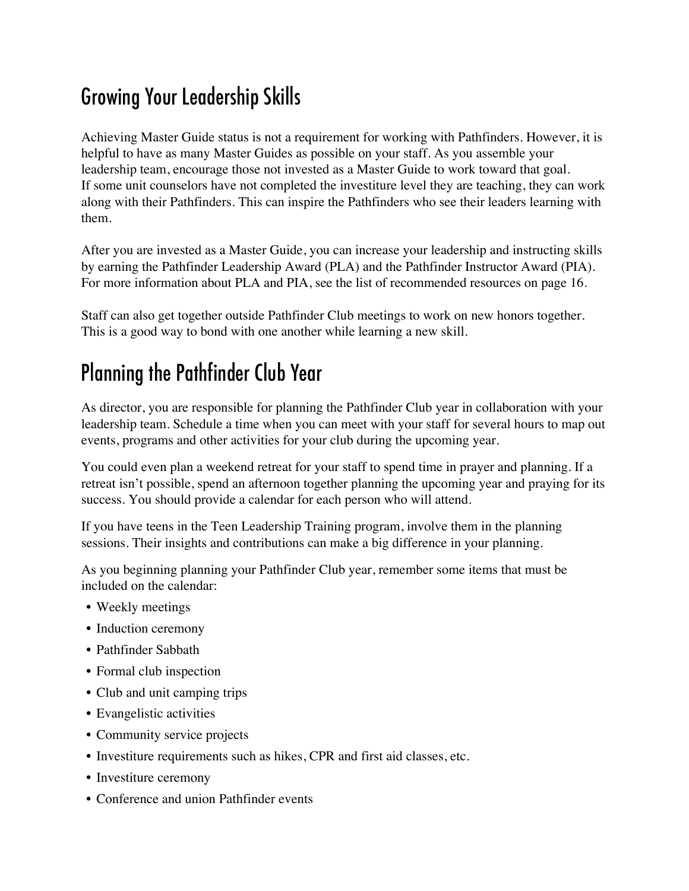# Growing Your Leadership Skills

Achieving Master Guide status is not a requirement for working with Pathfinders. However, it is helpful to have as many Master Guides as possible on your staff. As you assemble your leadership team, encourage those not invested as a Master Guide to work toward that goal. If some unit counselors have not completed the investiture level they are teaching, they can work along with their Pathfinders. This can inspire the Pathfinders who see their leaders learning with them.

After you are invested as a Master Guide, you can increase your leadership and instructing skills by earning the Pathfinder Leadership Award (PLA) and the Pathfinder Instructor Award (PIA). For more information about PLA and PIA, see the list of recommended resources on page 16.

Staff can also get together outside Pathfinder Club meetings to work on new honors together. This is a good way to bond with one another while learning a new skill.

# Planning the Pathfinder Club Year

As director, you are responsible for planning the Pathfinder Club year in collaboration with your leadership team. Schedule a time when you can meet with your staff for several hours to map out events, programs and other activities for your club during the upcoming year.

You could even plan a weekend retreat for your staff to spend time in prayer and planning. If a retreat isn't possible, spend an afternoon together planning the upcoming year and praying for its success. You should provide a calendar for each person who will attend.

If you have teens in the Teen Leadership Training program, involve them in the planning sessions. Their insights and contributions can make a big difference in your planning.

As you beginning planning your Pathfinder Club year, remember some items that must be included on the calendar:

- Weekly meetings
- Induction ceremony
- Pathfinder Sabbath
- Formal club inspection
- Club and unit camping trips
- Evangelistic activities
- Community service projects
- Investiture requirements such as hikes, CPR and first aid classes, etc.
- Investiture ceremony
- Conference and union Pathfinder events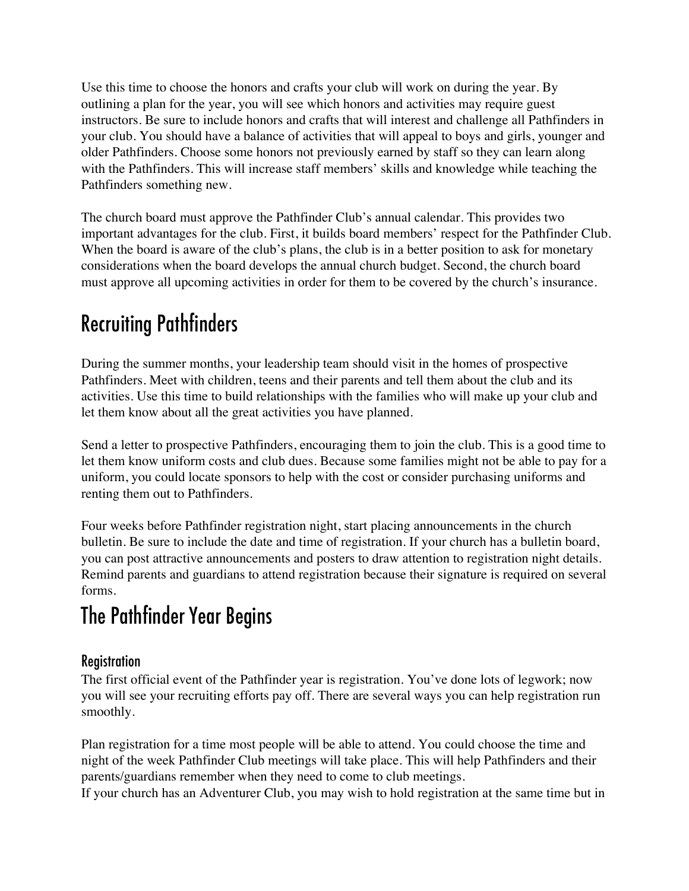Use this time to choose the honors and crafts your club will work on during the year. By outlining a plan for the year, you will see which honors and activities may require guest instructors. Be sure to include honors and crafts that will interest and challenge all Pathfinders in your club. You should have a balance of activities that will appeal to boys and girls, younger and older Pathfinders. Choose some honors not previously earned by staff so they can learn along with the Pathfinders. This will increase staff members' skills and knowledge while teaching the Pathfinders something new.

The church board must approve the Pathfinder Club's annual calendar. This provides two important advantages for the club. First, it builds board members' respect for the Pathfinder Club. When the board is aware of the club's plans, the club is in a better position to ask for monetary considerations when the board develops the annual church budget. Second, the church board must approve all upcoming activities in order for them to be covered by the church's insurance.

# Recruiting Pathfinders

During the summer months, your leadership team should visit in the homes of prospective Pathfinders. Meet with children, teens and their parents and tell them about the club and its activities. Use this time to build relationships with the families who will make up your club and let them know about all the great activities you have planned.

Send a letter to prospective Pathfinders, encouraging them to join the club. This is a good time to let them know uniform costs and club dues. Because some families might not be able to pay for a uniform, you could locate sponsors to help with the cost or consider purchasing uniforms and renting them out to Pathfinders.

Four weeks before Pathfinder registration night, start placing announcements in the church bulletin. Be sure to include the date and time of registration. If your church has a bulletin board, you can post attractive announcements and posters to draw attention to registration night details. Remind parents and guardians to attend registration because their signature is required on several forms.

# The Pathfinder Year Begins

## Registration

The first official event of the Pathfinder year is registration. You've done lots of legwork; now you will see your recruiting efforts pay off. There are several ways you can help registration run smoothly.

Plan registration for a time most people will be able to attend. You could choose the time and night of the week Pathfinder Club meetings will take place. This will help Pathfinders and their parents/guardians remember when they need to come to club meetings.

If your church has an Adventurer Club, you may wish to hold registration at the same time but in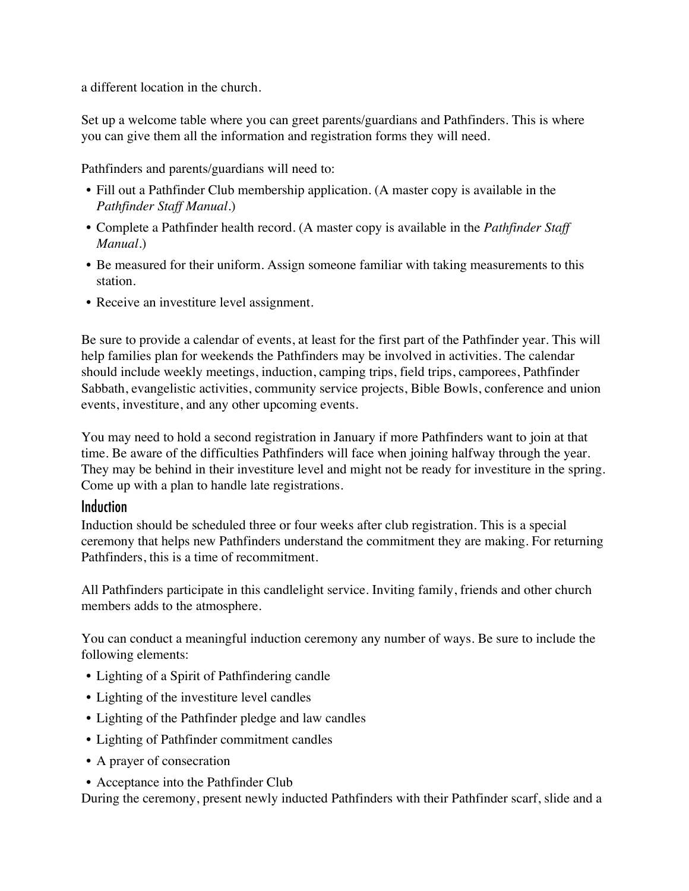a different location in the church.

Set up a welcome table where you can greet parents/guardians and Pathfinders. This is where you can give them all the information and registration forms they will need.

Pathfinders and parents/guardians will need to:

- Fill out a Pathfinder Club membership application. (A master copy is available in the *Pathfinder Staff Manual*.)
- Complete a Pathfinder health record. (A master copy is available in the *Pathfinder Staff Manual*.)
- Be measured for their uniform. Assign someone familiar with taking measurements to this station.
- Receive an investiture level assignment.

Be sure to provide a calendar of events, at least for the first part of the Pathfinder year. This will help families plan for weekends the Pathfinders may be involved in activities. The calendar should include weekly meetings, induction, camping trips, field trips, camporees, Pathfinder Sabbath, evangelistic activities, community service projects, Bible Bowls, conference and union events, investiture, and any other upcoming events.

You may need to hold a second registration in January if more Pathfinders want to join at that time. Be aware of the difficulties Pathfinders will face when joining halfway through the year. They may be behind in their investiture level and might not be ready for investiture in the spring. Come up with a plan to handle late registrations.

#### Induction

Induction should be scheduled three or four weeks after club registration. This is a special ceremony that helps new Pathfinders understand the commitment they are making. For returning Pathfinders, this is a time of recommitment.

All Pathfinders participate in this candlelight service. Inviting family, friends and other church members adds to the atmosphere.

You can conduct a meaningful induction ceremony any number of ways. Be sure to include the following elements:

- Lighting of a Spirit of Pathfindering candle
- Lighting of the investiture level candles
- Lighting of the Pathfinder pledge and law candles
- Lighting of Pathfinder commitment candles
- A prayer of consecration
- Acceptance into the Pathfinder Club

During the ceremony, present newly inducted Pathfinders with their Pathfinder scarf, slide and a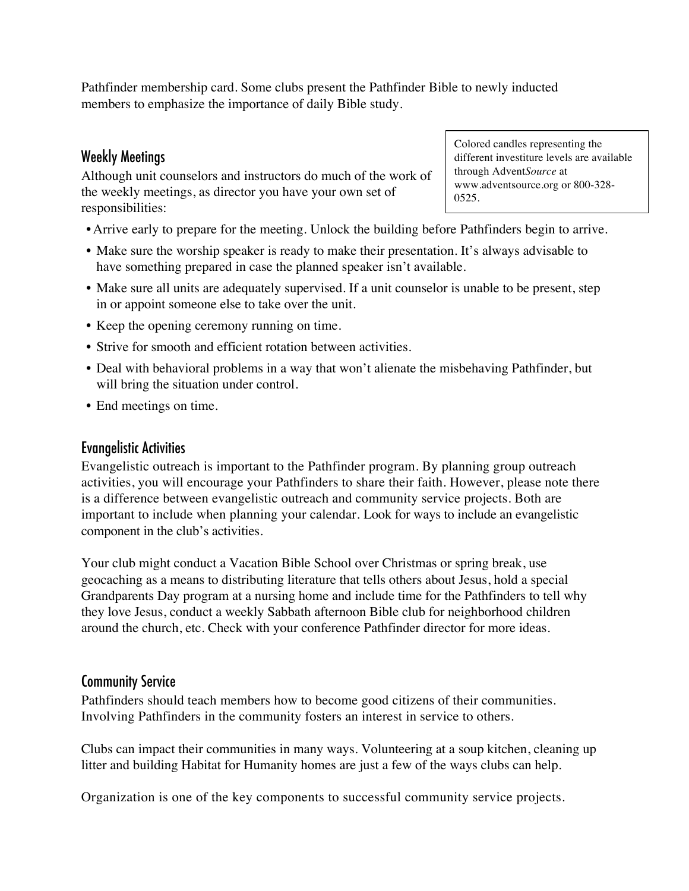Pathfinder membership card. Some clubs present the Pathfinder Bible to newly inducted members to emphasize the importance of daily Bible study.

### Weekly Meetings

Although unit counselors and instructors do much of the work of the weekly meetings, as director you have your own set of responsibilities:

Colored candles representing the different investiture levels are available through Advent*Source* at www.adventsource.org or 800-328- 0525.

- Arrive early to prepare for the meeting. Unlock the building before Pathfinders begin to arrive.
- Make sure the worship speaker is ready to make their presentation. It's always advisable to have something prepared in case the planned speaker isn't available.
- Make sure all units are adequately supervised. If a unit counselor is unable to be present, step in or appoint someone else to take over the unit.
- Keep the opening ceremony running on time.
- Strive for smooth and efficient rotation between activities.
- Deal with behavioral problems in a way that won't alienate the misbehaving Pathfinder, but will bring the situation under control.
- End meetings on time.

#### Evangelistic Activities

Evangelistic outreach is important to the Pathfinder program. By planning group outreach activities, you will encourage your Pathfinders to share their faith. However, please note there is a difference between evangelistic outreach and community service projects. Both are important to include when planning your calendar. Look for ways to include an evangelistic component in the club's activities.

Your club might conduct a Vacation Bible School over Christmas or spring break, use geocaching as a means to distributing literature that tells others about Jesus, hold a special Grandparents Day program at a nursing home and include time for the Pathfinders to tell why they love Jesus, conduct a weekly Sabbath afternoon Bible club for neighborhood children around the church, etc. Check with your conference Pathfinder director for more ideas.

#### Community Service

Pathfinders should teach members how to become good citizens of their communities. Involving Pathfinders in the community fosters an interest in service to others.

Clubs can impact their communities in many ways. Volunteering at a soup kitchen, cleaning up litter and building Habitat for Humanity homes are just a few of the ways clubs can help.

Organization is one of the key components to successful community service projects.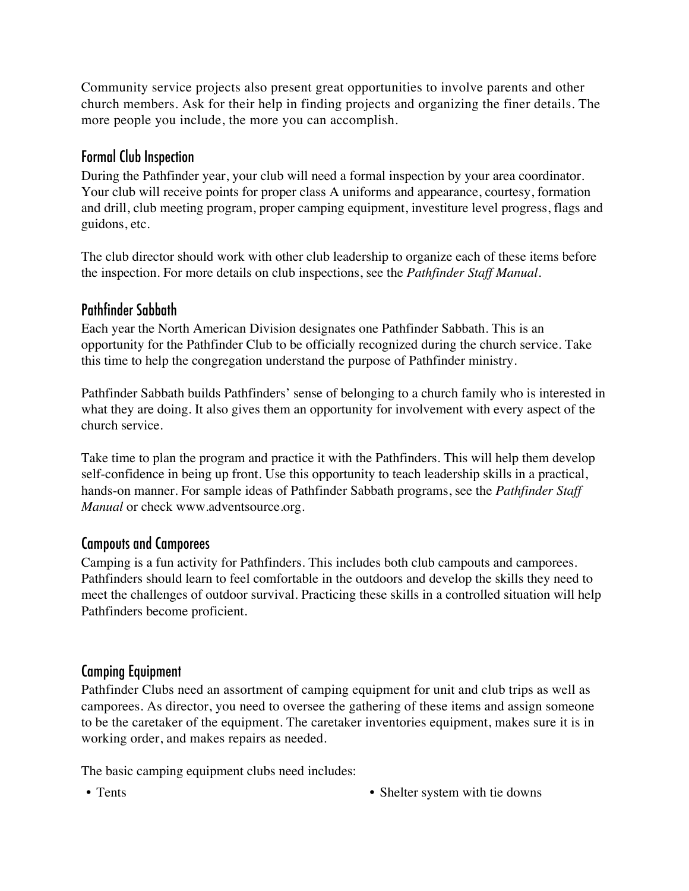Community service projects also present great opportunities to involve parents and other church members. Ask for their help in finding projects and organizing the finer details. The more people you include, the more you can accomplish.

### Formal Club Inspection

During the Pathfinder year, your club will need a formal inspection by your area coordinator. Your club will receive points for proper class A uniforms and appearance, courtesy, formation and drill, club meeting program, proper camping equipment, investiture level progress, flags and guidons, etc.

The club director should work with other club leadership to organize each of these items before the inspection. For more details on club inspections, see the *Pathfinder Staff Manual*.

### Pathfinder Sabbath

Each year the North American Division designates one Pathfinder Sabbath. This is an opportunity for the Pathfinder Club to be officially recognized during the church service. Take this time to help the congregation understand the purpose of Pathfinder ministry.

Pathfinder Sabbath builds Pathfinders' sense of belonging to a church family who is interested in what they are doing. It also gives them an opportunity for involvement with every aspect of the church service.

Take time to plan the program and practice it with the Pathfinders. This will help them develop self-confidence in being up front. Use this opportunity to teach leadership skills in a practical, hands-on manner. For sample ideas of Pathfinder Sabbath programs, see the *Pathfinder Staff Manual* or check www.adventsource.org.

### Campouts and Camporees

Camping is a fun activity for Pathfinders. This includes both club campouts and camporees. Pathfinders should learn to feel comfortable in the outdoors and develop the skills they need to meet the challenges of outdoor survival. Practicing these skills in a controlled situation will help Pathfinders become proficient.

### Camping Equipment

Pathfinder Clubs need an assortment of camping equipment for unit and club trips as well as camporees. As director, you need to oversee the gathering of these items and assign someone to be the caretaker of the equipment. The caretaker inventories equipment, makes sure it is in working order, and makes repairs as needed.

The basic camping equipment clubs need includes:

• Tents • Shelter system with tie downs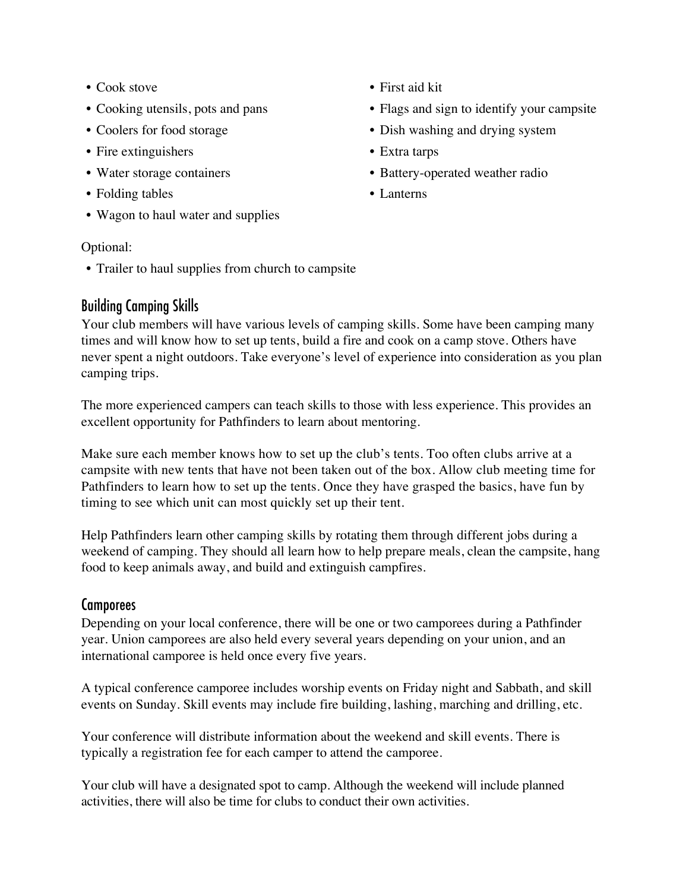- Cook stove
- Cooking utensils, pots and pans
- Coolers for food storage
- Fire extinguishers
- Water storage containers
- Folding tables
- Wagon to haul water and supplies
- First aid kit
- Flags and sign to identify your campsite
- Dish washing and drying system
- Extra tarps
- Battery-operated weather radio
- Lanterns

Optional:

• Trailer to haul supplies from church to campsite

### Building Camping Skills

Your club members will have various levels of camping skills. Some have been camping many times and will know how to set up tents, build a fire and cook on a camp stove. Others have never spent a night outdoors. Take everyone's level of experience into consideration as you plan camping trips.

The more experienced campers can teach skills to those with less experience. This provides an excellent opportunity for Pathfinders to learn about mentoring.

Make sure each member knows how to set up the club's tents. Too often clubs arrive at a campsite with new tents that have not been taken out of the box. Allow club meeting time for Pathfinders to learn how to set up the tents. Once they have grasped the basics, have fun by timing to see which unit can most quickly set up their tent.

Help Pathfinders learn other camping skills by rotating them through different jobs during a weekend of camping. They should all learn how to help prepare meals, clean the campsite, hang food to keep animals away, and build and extinguish campfires.

#### **Camporees**

Depending on your local conference, there will be one or two camporees during a Pathfinder year. Union camporees are also held every several years depending on your union, and an international camporee is held once every five years.

A typical conference camporee includes worship events on Friday night and Sabbath, and skill events on Sunday. Skill events may include fire building, lashing, marching and drilling, etc.

Your conference will distribute information about the weekend and skill events. There is typically a registration fee for each camper to attend the camporee.

Your club will have a designated spot to camp. Although the weekend will include planned activities, there will also be time for clubs to conduct their own activities.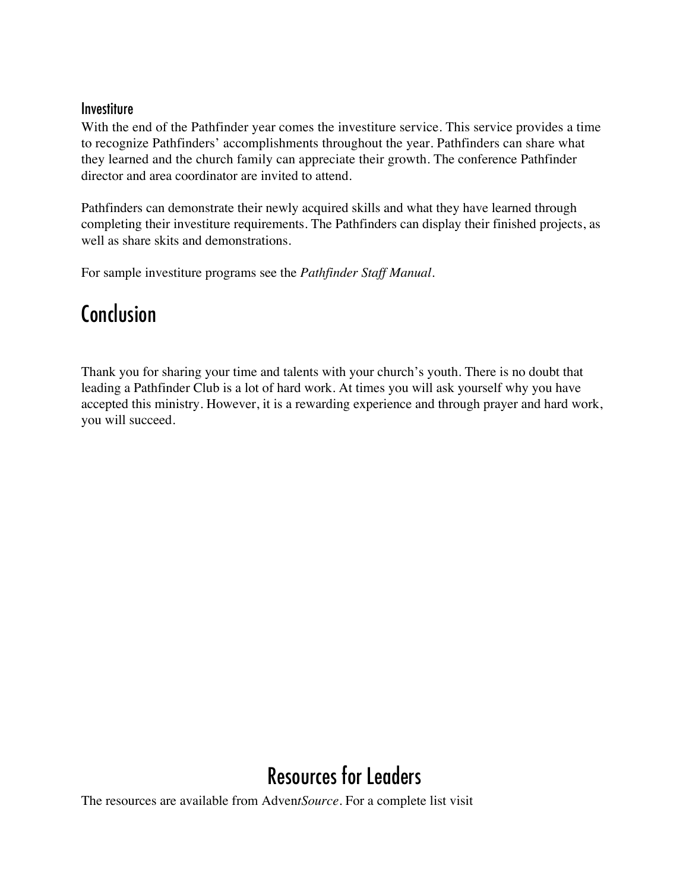#### **Investiture**

With the end of the Pathfinder year comes the investiture service. This service provides a time to recognize Pathfinders' accomplishments throughout the year. Pathfinders can share what they learned and the church family can appreciate their growth. The conference Pathfinder director and area coordinator are invited to attend.

Pathfinders can demonstrate their newly acquired skills and what they have learned through completing their investiture requirements. The Pathfinders can display their finished projects, as well as share skits and demonstrations.

For sample investiture programs see the *Pathfinder Staff Manual*.

## Conclusion

Thank you for sharing your time and talents with your church's youth. There is no doubt that leading a Pathfinder Club is a lot of hard work. At times you will ask yourself why you have accepted this ministry. However, it is a rewarding experience and through prayer and hard work, you will succeed.

# Resources for Leaders

The resources are available from Adven*tSource*. For a complete list visit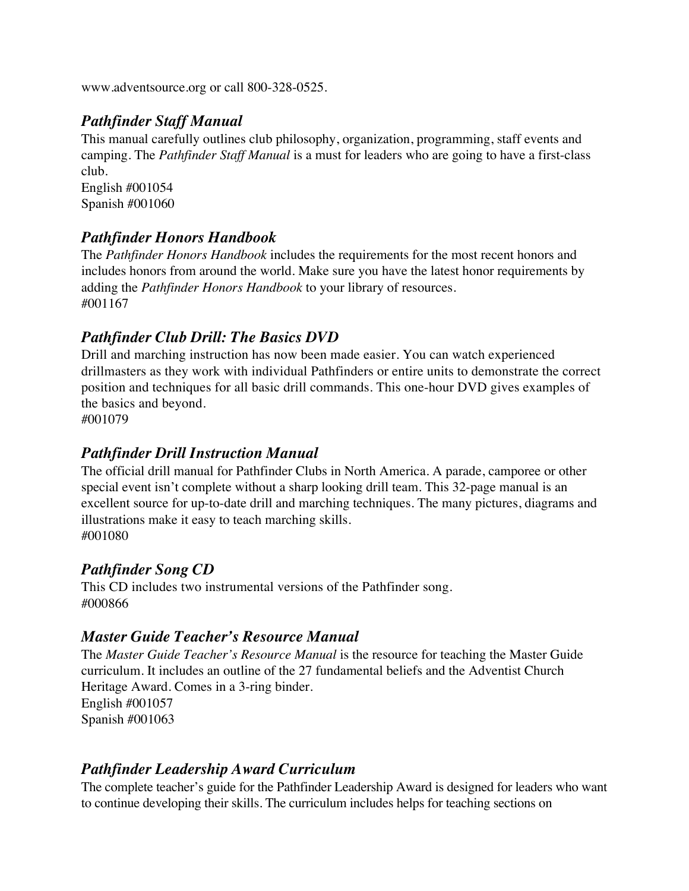www.adventsource.org or call 800-328-0525.

## *Pathfinder Staff Manual*

This manual carefully outlines club philosophy, organization, programming, staff events and camping. The *Pathfinder Staff Manual* is a must for leaders who are going to have a first-class club.

English #001054 Spanish #001060

## *Pathfinder Honors Handbook*

The *Pathfinder Honors Handbook* includes the requirements for the most recent honors and includes honors from around the world. Make sure you have the latest honor requirements by adding the *Pathfinder Honors Handbook* to your library of resources. #001167

## *Pathfinder Club Drill: The Basics DVD*

Drill and marching instruction has now been made easier. You can watch experienced drillmasters as they work with individual Pathfinders or entire units to demonstrate the correct position and techniques for all basic drill commands. This one-hour DVD gives examples of the basics and beyond.

#001079

## *Pathfinder Drill Instruction Manual*

The official drill manual for Pathfinder Clubs in North America. A parade, camporee or other special event isn't complete without a sharp looking drill team. This 32-page manual is an excellent source for up-to-date drill and marching techniques. The many pictures, diagrams and illustrations make it easy to teach marching skills. #001080

### *Pathfinder Song CD*

This CD includes two instrumental versions of the Pathfinder song. #000866

### *Master Guide Teacher's Resource Manual*

The *Master Guide Teacher's Resource Manual* is the resource for teaching the Master Guide curriculum. It includes an outline of the 27 fundamental beliefs and the Adventist Church Heritage Award. Comes in a 3-ring binder. English #001057 Spanish #001063

### *Pathfinder Leadership Award Curriculum*

The complete teacher's guide for the Pathfinder Leadership Award is designed for leaders who want to continue developing their skills. The curriculum includes helps for teaching sections on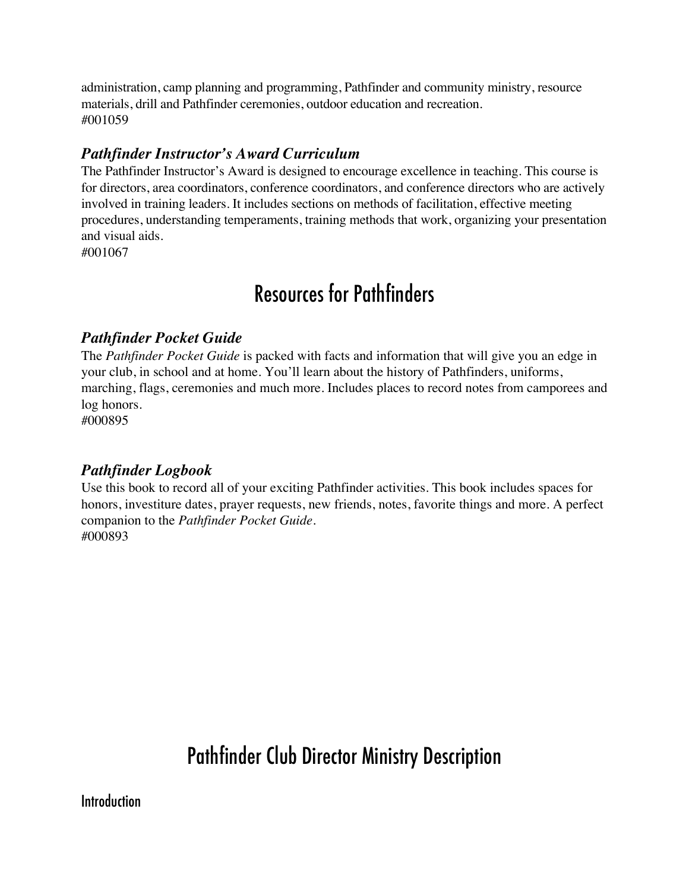administration, camp planning and programming, Pathfinder and community ministry, resource materials, drill and Pathfinder ceremonies, outdoor education and recreation. #001059

## *Pathfinder Instructor's Award Curriculum*

The Pathfinder Instructor's Award is designed to encourage excellence in teaching. This course is for directors, area coordinators, conference coordinators, and conference directors who are actively involved in training leaders. It includes sections on methods of facilitation, effective meeting procedures, understanding temperaments, training methods that work, organizing your presentation and visual aids.

#001067

## Resources for Pathfinders

## *Pathfinder Pocket Guide*

The *Pathfinder Pocket Guide* is packed with facts and information that will give you an edge in your club, in school and at home. You'll learn about the history of Pathfinders, uniforms, marching, flags, ceremonies and much more. Includes places to record notes from camporees and log honors.

#000895

## *Pathfinder Logbook*

Use this book to record all of your exciting Pathfinder activities. This book includes spaces for honors, investiture dates, prayer requests, new friends, notes, favorite things and more. A perfect companion to the *Pathfinder Pocket Guide*. #000893

## Pathfinder Club Director Ministry Description

**Introduction**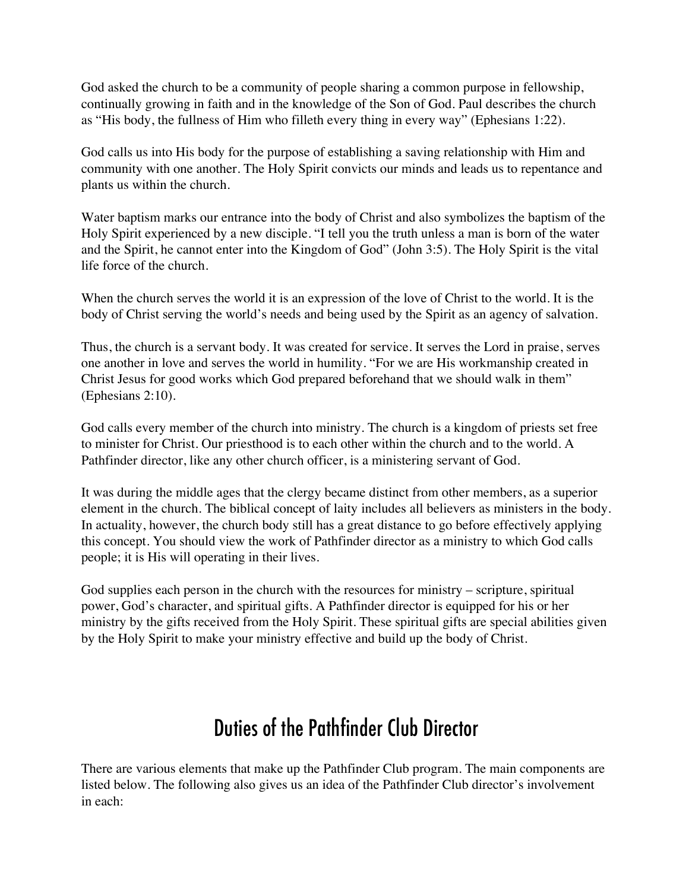God asked the church to be a community of people sharing a common purpose in fellowship, continually growing in faith and in the knowledge of the Son of God. Paul describes the church as "His body, the fullness of Him who filleth every thing in every way" (Ephesians 1:22).

God calls us into His body for the purpose of establishing a saving relationship with Him and community with one another. The Holy Spirit convicts our minds and leads us to repentance and plants us within the church.

Water baptism marks our entrance into the body of Christ and also symbolizes the baptism of the Holy Spirit experienced by a new disciple. "I tell you the truth unless a man is born of the water and the Spirit, he cannot enter into the Kingdom of God" (John 3:5). The Holy Spirit is the vital life force of the church.

When the church serves the world it is an expression of the love of Christ to the world. It is the body of Christ serving the world's needs and being used by the Spirit as an agency of salvation.

Thus, the church is a servant body. It was created for service. It serves the Lord in praise, serves one another in love and serves the world in humility. "For we are His workmanship created in Christ Jesus for good works which God prepared beforehand that we should walk in them" (Ephesians 2:10).

God calls every member of the church into ministry. The church is a kingdom of priests set free to minister for Christ. Our priesthood is to each other within the church and to the world. A Pathfinder director, like any other church officer, is a ministering servant of God.

It was during the middle ages that the clergy became distinct from other members, as a superior element in the church. The biblical concept of laity includes all believers as ministers in the body. In actuality, however, the church body still has a great distance to go before effectively applying this concept. You should view the work of Pathfinder director as a ministry to which God calls people; it is His will operating in their lives.

God supplies each person in the church with the resources for ministry – scripture, spiritual power, God's character, and spiritual gifts. A Pathfinder director is equipped for his or her ministry by the gifts received from the Holy Spirit. These spiritual gifts are special abilities given by the Holy Spirit to make your ministry effective and build up the body of Christ.

## Duties of the Pathfinder Club Director

There are various elements that make up the Pathfinder Club program. The main components are listed below. The following also gives us an idea of the Pathfinder Club director's involvement in each: